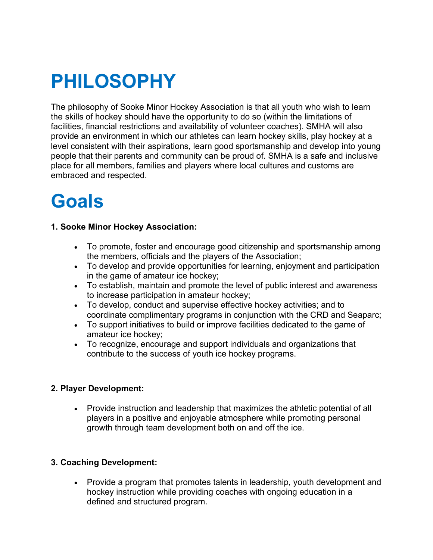# PHILOSOPHY

The philosophy of Sooke Minor Hockey Association is that all youth who wish to learn the skills of hockey should have the opportunity to do so (within the limitations of facilities, financial restrictions and availability of volunteer coaches). SMHA will also provide an environment in which our athletes can learn hockey skills, play hockey at a level consistent with their aspirations, learn good sportsmanship and develop into young people that their parents and community can be proud of. SMHA is a safe and inclusive place for all members, families and players where local cultures and customs are embraced and respected.

## Goals

#### 1. Sooke Minor Hockey Association:

- To promote, foster and encourage good citizenship and sportsmanship among the members, officials and the players of the Association;
- To develop and provide opportunities for learning, enjoyment and participation in the game of amateur ice hockey;
- To establish, maintain and promote the level of public interest and awareness to increase participation in amateur hockey;
- To develop, conduct and supervise effective hockey activities; and to coordinate complimentary programs in conjunction with the CRD and Seaparc;
- To support initiatives to build or improve facilities dedicated to the game of amateur ice hockey;
- To recognize, encourage and support individuals and organizations that contribute to the success of youth ice hockey programs.

### 2. Player Development:

 Provide instruction and leadership that maximizes the athletic potential of all players in a positive and enjoyable atmosphere while promoting personal growth through team development both on and off the ice.

### 3. Coaching Development:

• Provide a program that promotes talents in leadership, youth development and hockey instruction while providing coaches with ongoing education in a defined and structured program.